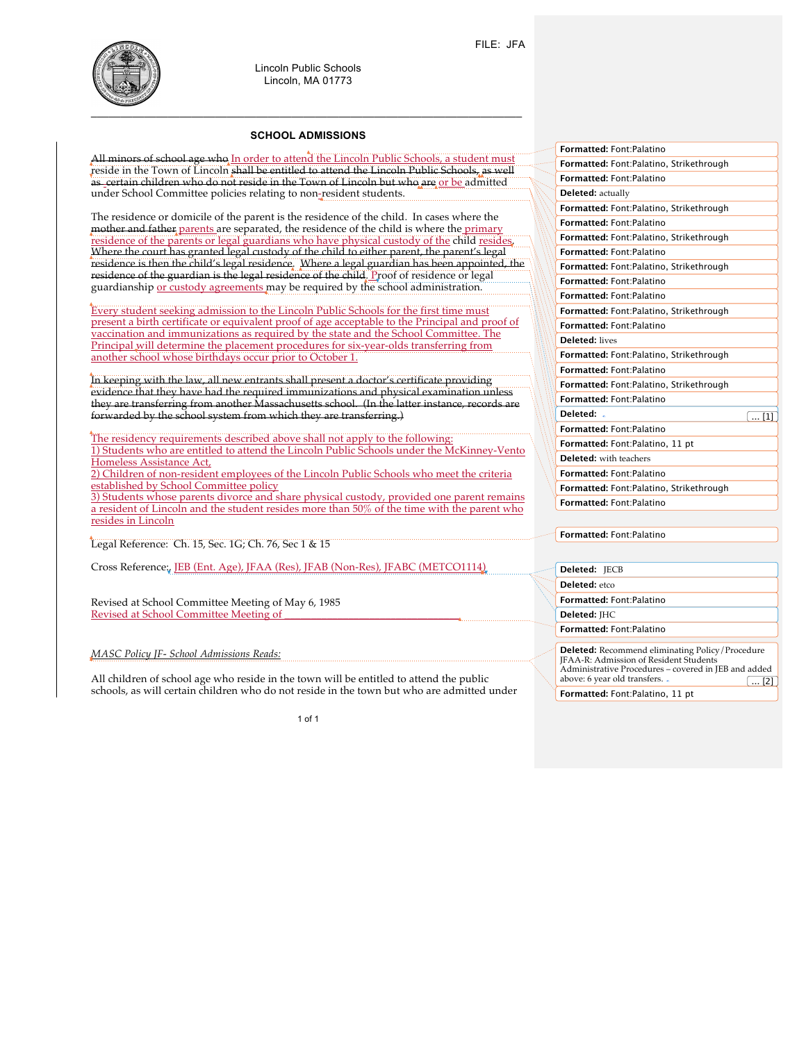

Lincoln Public Schools Lincoln, MA 01773

## **SCHOOL ADMISSIONS**

All minors of school age who In order to attend the Lincoln Public Schools, a student must reside in the Town of Lincoln shall be entitled to attend the Lincoln Public Schools, as well as certain children who do not reside in the Town of Lincoln but who are or be admitted under School Committee policies relating to non-resident students.

The residence or domicile of the parent is the residence of the child. In cases where the mother and father parents are separated, the residence of the child is where the primary residence of the parents or legal guardians who have physical custody of the child resides. Where the court has granted legal custody of the child to either parent, the parent's legal residence is then the child's legal residence. Where a legal guardian has been appointed, the residence of the guardian is the legal residence of the child. Proof of residence or legal guardianship or custody agreements may be required by the school administration.

Every student seeking admission to the Lincoln Public Schools for the first time must present a birth certificate or equivalent proof of age acceptable to the Principal and proof of vaccination and immunizations as required by the state and the School Committee. The Principal will determine the placement procedures for six-year-olds transferring from another school whose birthdays occur prior to October 1.

In keeping with the law, all new entrants shall present a doctor's certificate providing evidence that they have had the required immunizations and physical examination un they are transferring from another Massachusetts school. (In the latter instance, records are forwarded by the school system from which they are transferring.)

The residency requirements described above shall not apply to the following: 1) Students who are entitled to attend the Lincoln Public Schools under the McKinney-Vento Homeless Assistance Act,

2) Children of non-resident employees of the Lincoln Public Schools who meet the criteria established by School Committee policy

3) Students whose parents divorce and share physical custody, provided one parent remains a resident of Lincoln and the student resides more than 50% of the time with the parent who resides in Lincoln

Legal Reference: Ch. 15, Sec. 1G; Ch. 76, Sec 1 & 15

Cross Reference:, JEB (Ent. Age), JFAA (Res), JFAB (Non-Res), JFABC (METCO1114)

Revised at School Committee Meeting of May 6, 1985 Revised at School Committee Meeting of

*MASC Policy JF- School Admissions Reads:*

All children of school age who reside in the town will be entitled to attend the public schools, as will certain children who do not reside in the town but who are admitted under

1 of 1

| Formatted: Font:Palatino                |
|-----------------------------------------|
| Formatted: Font:Palatino, Strikethrough |
| Formatted: Font:Palatino                |
| <b>Deleted:</b> actually                |
| Formatted: Font:Palatino, Strikethrough |
| Formatted: Font:Palatino                |
| Formatted: Font:Palatino, Strikethrough |
| Formatted: Font:Palatino                |
| Formatted: Font:Palatino, Strikethrough |
| Formatted: Font:Palatino                |
| Formatted: Font:Palatino                |
| Formatted: Font:Palatino, Strikethrough |
| Formatted: Font:Palatino                |
| <b>Deleted:</b> lives                   |
| Formatted: Font:Palatino, Strikethrough |
| Formatted: Font:Palatino                |
| Formatted: Font:Palatino, Strikethrough |
| Formatted: Font:Palatino                |
| Deleted: .<br>$\dots$ [1]               |
| Formatted: Font:Palatino                |
| Formatted: Font:Palatino, 11 pt         |
| <b>Deleted:</b> with teachers           |
| Formatted: Font:Palatino                |
| Formatted: Font:Palatino, Strikethrough |
| Formatted: Font:Palatino                |

**Formatted:** Font:Palatino

**Deleted:** JECB **Deleted:** etco **Formatted:** Font:Palatino **Deleted:** JHC **Formatted:** Font:Palatino **Deleted:** Recommend eliminating Policy/Procedure JFAA-R: Admission of Resident Students Administrative Procedures – covered in JEB and added above: 6 year old transfers. .  $\boxed{... [2]}$ 

**Formatted:** Font:Palatino, 11 pt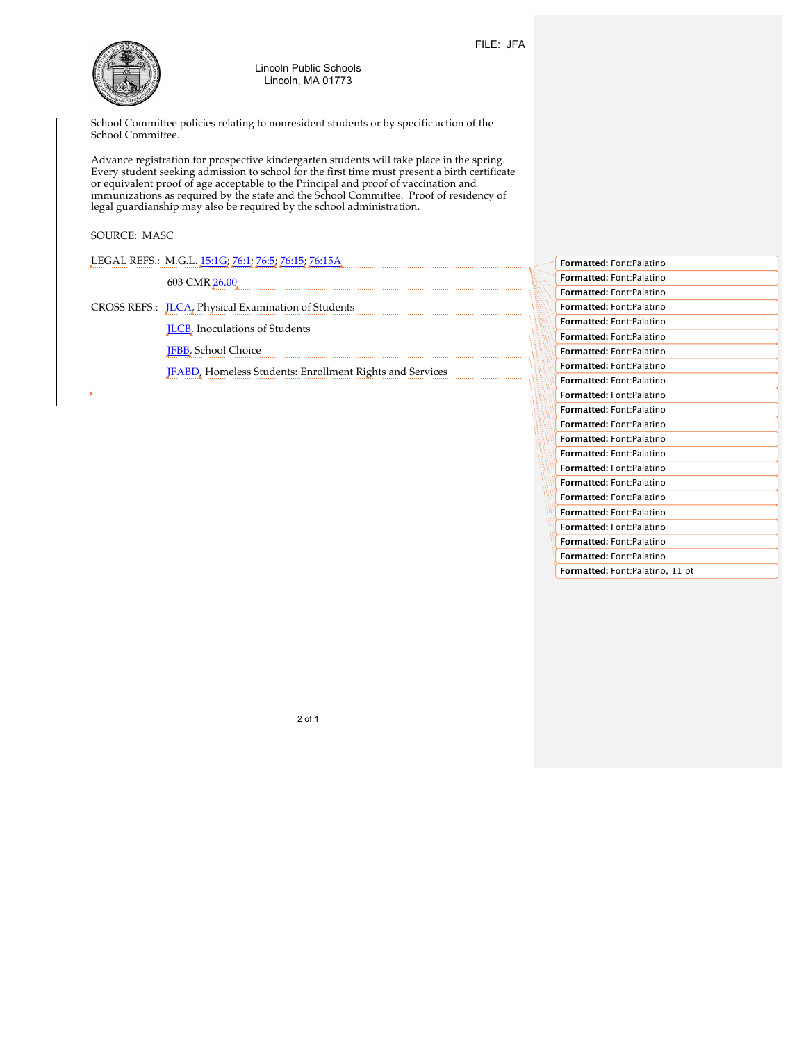

 $\mathcal{L}_\mathcal{L} = \mathcal{L}_\mathcal{L} = \mathcal{L}_\mathcal{L} = \mathcal{L}_\mathcal{L} = \mathcal{L}_\mathcal{L} = \mathcal{L}_\mathcal{L} = \mathcal{L}_\mathcal{L} = \mathcal{L}_\mathcal{L} = \mathcal{L}_\mathcal{L} = \mathcal{L}_\mathcal{L} = \mathcal{L}_\mathcal{L} = \mathcal{L}_\mathcal{L} = \mathcal{L}_\mathcal{L} = \mathcal{L}_\mathcal{L} = \mathcal{L}_\mathcal{L} = \mathcal{L}_\mathcal{L} = \mathcal{L}_\mathcal{L}$ School Committee policies relating to nonresident students or by specific action of the School Committee.

Advance registration for prospective kindergarten students will take place in the spring. Every student seeking admission to school for the first time must present a birth certificate or equivalent proof of age acceptable to the Principal and proof of vaccination and immunizations as required by the state and the School Committee. Proof of residency of legal guardianship may also be required by the school administration.

## SOURCE: MASC

LEGAL REFS.: M.G.L. 15:1G; 76:1; 76:5; 76:15; 76:15A

603 CMR 26.00

CROSS REFS.: JLCA, Physical Examination of Students

JLCB, Inoculations of Students

JFBB, School Choice

JFABD, Homeless Students: Enrollment Rights and Services

**Formatted:** Font:Palatino **Formatted:** Font:Palatino **Formatted:** Font:Palatino **Formatted:** Font:Palatino **Formatted:** Font:Palatino **Formatted:** Font:Palatino **Formatted:** Font:Palatino **Formatted:** Font:Palatino **Formatted:** Font:Palatino **Formatted:** Font:Palatino **Formatted:** Font:Palatino **Formatted:** Font:Palatino **Formatted:** Font:Palatino **Formatted:** Font:Palatino **Formatted:** Font:Palatino **Formatted:** Font:Palatino **Formatted:** Font:Palatino **Formatted:** Font:Palatino **Formatted:** Font:Palatino **Formatted:** Font:Palatino **Formatted:** Font:Palatino **Formatted:** Font:Palatino, 11 pt

2 of 1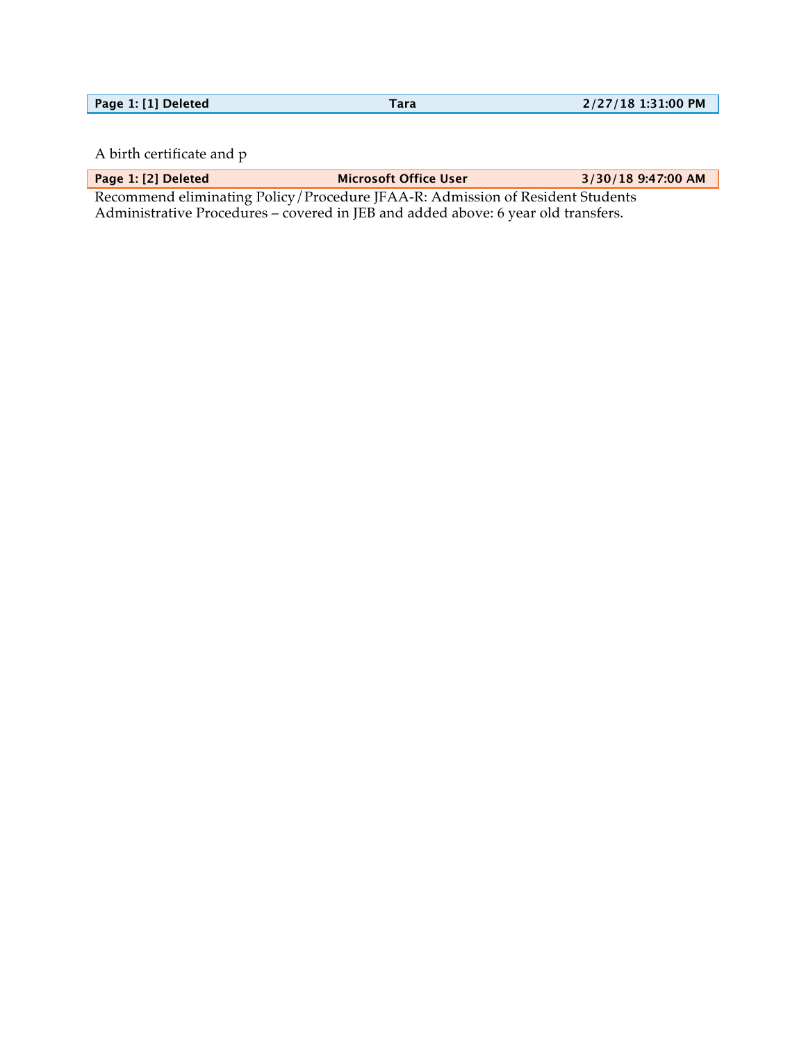| Page 1: [1] Deleted | 2/27/18 1:31:00 PM |
|---------------------|--------------------|
|                     |                    |

A birth certificate and p

**Page 1: [2] Deleted Microsoft Office User 3/30/18 9:47:00 AM**

Recommend eliminating Policy/Procedure JFAA-R: Admission of Resident Students Administrative Procedures – covered in JEB and added above: 6 year old transfers.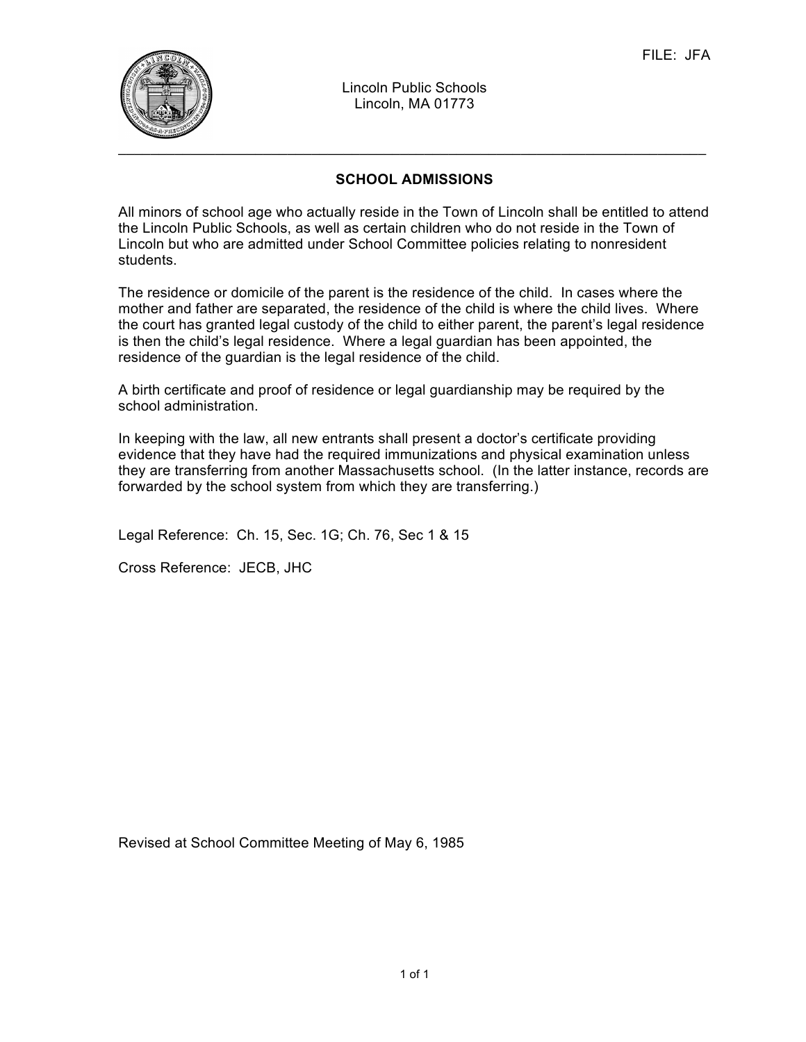

Lincoln Public Schools Lincoln, MA 01773

## **SCHOOL ADMISSIONS**

All minors of school age who actually reside in the Town of Lincoln shall be entitled to attend the Lincoln Public Schools, as well as certain children who do not reside in the Town of Lincoln but who are admitted under School Committee policies relating to nonresident students.

The residence or domicile of the parent is the residence of the child. In cases where the mother and father are separated, the residence of the child is where the child lives. Where the court has granted legal custody of the child to either parent, the parent's legal residence is then the child's legal residence. Where a legal guardian has been appointed, the residence of the guardian is the legal residence of the child.

A birth certificate and proof of residence or legal guardianship may be required by the school administration.

In keeping with the law, all new entrants shall present a doctor's certificate providing evidence that they have had the required immunizations and physical examination unless they are transferring from another Massachusetts school. (In the latter instance, records are forwarded by the school system from which they are transferring.)

Legal Reference: Ch. 15, Sec. 1G; Ch. 76, Sec 1 & 15

Cross Reference: JECB, JHC

Revised at School Committee Meeting of May 6, 1985